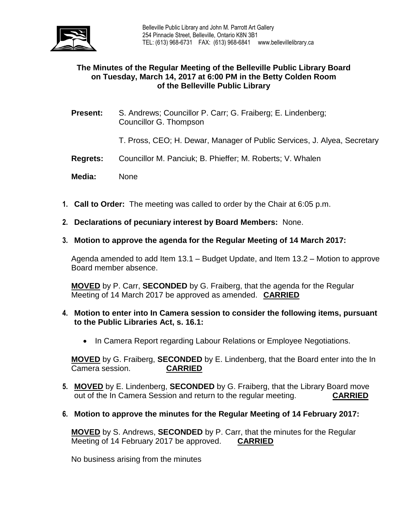

# **The Minutes of the Regular Meeting of the Belleville Public Library Board on Tuesday, March 14, 2017 at 6:00 PM in the Betty Colden Room of the Belleville Public Library**

**Present:** S. Andrews; Councillor P. Carr; G. Fraiberg; E. Lindenberg; Councillor G. Thompson

T. Pross, CEO; H. Dewar, Manager of Public Services, J. Alyea, Secretary

- **Regrets:** Councillor M. Panciuk; B. Phieffer; M. Roberts; V. Whalen
- **Media:** None
- **1. Call to Order:** The meeting was called to order by the Chair at 6:05 p.m.
- **2. Declarations of pecuniary interest by Board Members:** None.
- **3. Motion to approve the agenda for the Regular Meeting of 14 March 2017:**

Agenda amended to add Item 13.1 – Budget Update, and Item 13.2 – Motion to approve Board member absence.

**MOVED** by P. Carr, **SECONDED** by G. Fraiberg, that the agenda for the Regular Meeting of 14 March 2017 be approved as amended. **CARRIED**

- **4. Motion to enter into In Camera session to consider the following items, pursuant to the Public Libraries Act, s. 16.1:** 
	- In Camera Report regarding Labour Relations or Employee Negotiations.

**MOVED** by G. Fraiberg, **SECONDED** by E. Lindenberg, that the Board enter into the In Camera session. **CARRIED**

- **5. MOVED** by E. Lindenberg, **SECONDED** by G. Fraiberg, that the Library Board move out of the In Camera Session and return to the regular meeting. **CARRIED**
- **6. Motion to approve the minutes for the Regular Meeting of 14 February 2017:**

**MOVED** by S. Andrews, **SECONDED** by P. Carr, that the minutes for the Regular Meeting of 14 February 2017 be approved. **CARRIED**

No business arising from the minutes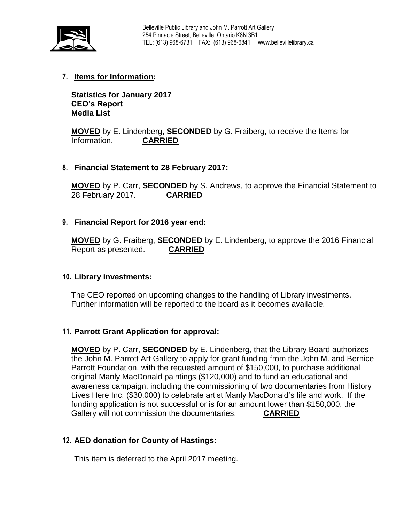

# **7. Items for Information:**

**Statistics for January 2017 CEO's Report Media List**

**MOVED** by E. Lindenberg, **SECONDED** by G. Fraiberg, to receive the Items for Information. **CARRIED**

### **8. Financial Statement to 28 February 2017:**

**MOVED** by P. Carr, **SECONDED** by S. Andrews, to approve the Financial Statement to 28 February 2017. **CARRIED**

### **9. Financial Report for 2016 year end:**

**MOVED** by G. Fraiberg, **SECONDED** by E. Lindenberg, to approve the 2016 Financial Report as presented. **CARRIED**

#### **10. Library investments:**

The CEO reported on upcoming changes to the handling of Library investments. Further information will be reported to the board as it becomes available.

### **11. Parrott Grant Application for approval:**

**MOVED** by P. Carr, **SECONDED** by E. Lindenberg, that the Library Board authorizes the John M. Parrott Art Gallery to apply for grant funding from the John M. and Bernice Parrott Foundation, with the requested amount of \$150,000, to purchase additional original Manly MacDonald paintings (\$120,000) and to fund an educational and awareness campaign, including the commissioning of two documentaries from History Lives Here Inc. (\$30,000) to celebrate artist Manly MacDonald's life and work. If the funding application is not successful or is for an amount lower than \$150,000, the Gallery will not commission the documentaries. **CARRIED**

#### **12. AED donation for County of Hastings:**

This item is deferred to the April 2017 meeting.